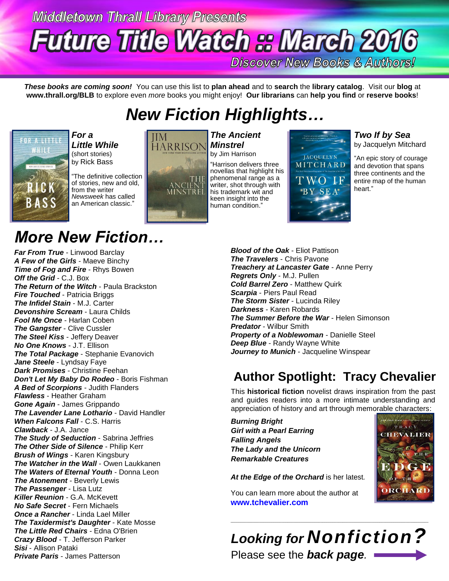# **Middletown Thrall Library Presents Future Title Watch & March 2016**

**Discover New Books & Authors!** 

*These books are coming soon!* You can use this list to **plan ahead** and to **search** the **library catalog**. Visit our **blog** at **www.thrall.org/BLB** to explore even *more* books you might enjoy! **Our librarians** can **help you find** or **reserve books**!

## *New Fiction Highlights…*



*For a Little While* (short stories) by Rick Bass

"The definitive collection of stories, new and old, from the writer *Newsweek* has called an American classic."

## *More New Fiction…*

*Far From True* - Linwood Barclay *A Few of the Girls* - Maeve Binchy *Time of Fog and Fire* - Rhys Bowen *Off the Grid* - C.J. Box *The Return of the Witch* - Paula Brackston *Fire Touched* - Patricia Briggs *The Infidel Stain* - M.J. Carter *Devonshire Scream* - Laura Childs *Fool Me Once* - Harlan Coben *The Gangster - Clive Cussler The Steel Kiss* - Jeffery Deaver *No One Knows* - J.T. Ellison *The Total Package* - Stephanie Evanovich *Jane Steele* - Lyndsay Faye *Dark Promises* - Christine Feehan *Don't Let My Baby Do Rodeo* - Boris Fishman *A Bed of Scorpions* - Judith Flanders *Flawless* - Heather Graham *Gone Again* - James Grippando **The Lavender Lane Lothario - David Handler** *When Falcons Fall* - C.S. Harris *Clawback* - J.A. Jance **The Study of Seduction - Sabrina Jeffries** *The Other Side of Silence* - Philip Kerr *Brush of Wings* - Karen Kingsbury *The Watcher in the Wall - Owen Laukkanen The Waters of Eternal Youth* - Donna Leon *The Atonement* - Beverly Lewis *The Passenger* - Lisa Lutz *Killer Reunion* - G.A. McKevett *No Safe Secret* - Fern Michaels *Once a Rancher* - Linda Lael Miller *The Taxidermist's Daughter* - Kate Mosse *The Little Red Chairs* - Edna O'Brien *Crazy Blood* - T. Jefferson Parker *Sisi* - Allison Pataki *Private Paris* - James Patterson



*The Ancient Minstrel* by Jim Harrison

"Harrison delivers three novellas that highlight his phenomenal range as a writer, shot through with his trademark wit and keen insight into the human condition."



*Two If by Sea* by Jacquelyn Mitchard

"An epic story of courage and devotion that spans three continents and the entire map of the human heart."

> TRACY THEVALIER

**DRCHARD** 

THE

*Blood of the Oak* - Eliot Pattison *The Travelers* - Chris Pavone *Treachery at Lancaster Gate* - Anne Perry *Regrets Only* - M.J. Pullen *Cold Barrel Zero* - Matthew Quirk *Scarpia* - Piers Paul Read *The Storm Sister* - Lucinda Riley *Darkness* - Karen Robards **The Summer Before the War - Helen Simonson** *Predator* - Wilbur Smith *Property of a Noblewoman* - Danielle Steel *Deep Blue* - Randy Wayne White *Journey to Munich* - Jacqueline Winspear

### **Author Spotlight: Tracy Chevalier**

This **historical fiction** novelist draws inspiration from the past and guides readers into a more intimate understanding and appreciation of history and art through memorable characters:

*Burning Bright Girl with a Pearl Earring Falling Angels The Lady and the Unicorn Remarkable Creatures*

At the Edge of the Orchard is her latest.

You can learn more about the author at **[www.tchevalier.com](http://www.tchevalier.com/)**